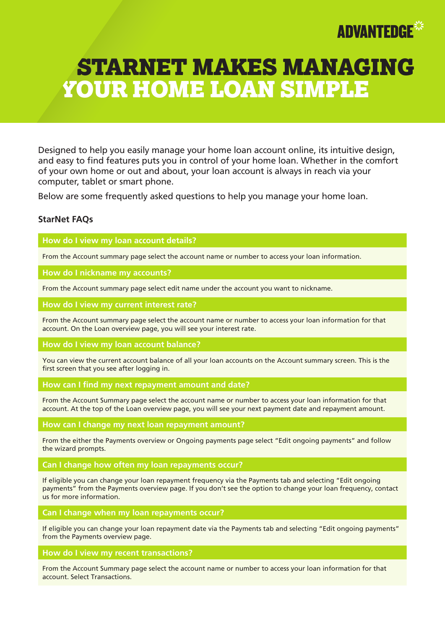

# STARNET MAKES MANAGING YOUR HOME LOAN SIMPLE

Designed to help you easily manage your home loan account online, its intuitive design, and easy to find features puts you in control of your home loan. Whether in the comfort of your own home or out and about, your loan account is always in reach via your computer, tablet or smart phone.

Below are some frequently asked questions to help you manage your home loan.

## **StarNet FAQs**

**How do I view my loan account details?**

From the Account summary page select the account name or number to access your loan information.

**How do I nickname my accounts?**

From the Account summary page select edit name under the account you want to nickname.

**How do I view my current interest rate?**

From the Account summary page select the account name or number to access your loan information for that account. On the Loan overview page, you will see your interest rate.

**How do I view my loan account balance?**

You can view the current account balance of all your loan accounts on the Account summary screen. This is the first screen that you see after logging in.

**How can I find my next repayment amount and date?**

From the Account Summary page select the account name or number to access your loan information for that account. At the top of the Loan overview page, you will see your next payment date and repayment amount.

**How can I change my next loan repayment amount?**

From the either the Payments overview or Ongoing payments page select "Edit ongoing payments" and follow the wizard prompts.

**Can I change how often my loan repayments occur?**

If eligible you can change your loan repayment frequency via the Payments tab and selecting "Edit ongoing payments" from the Payments overview page. If you don't see the option to change your loan frequency, contact us for more information.

**Can I change when my loan repayments occur?**

If eligible you can change your loan repayment date via the Payments tab and selecting "Edit ongoing payments" from the Payments overview page.

**How do I view my recent transactions?**

From the Account Summary page select the account name or number to access your loan information for that account. Select Transactions.